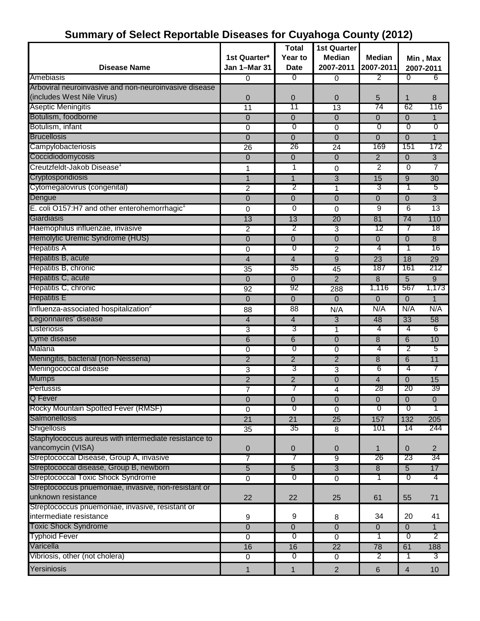|                                                          |                 | <b>Total</b>            | 1st Quarter     |                          |                 |                |
|----------------------------------------------------------|-----------------|-------------------------|-----------------|--------------------------|-----------------|----------------|
|                                                          | 1st Quarter*    | Year to                 | <b>Median</b>   | <b>Median</b>            |                 | Min, Max       |
| <b>Disease Name</b>                                      | Jan 1-Mar 31    | <b>Date</b>             | 2007-2011       | 2007-2011                | 2007-2011       |                |
| Amebiasis                                                | $\overline{0}$  | 0                       | $\overline{0}$  | 2                        | $\overline{0}$  | 6              |
| Arboviral neuroinvasive and non-neuroinvasive disease    |                 |                         |                 |                          |                 |                |
| (includes West Nile Virus)                               | 0               | 0                       | 0               | 5                        | 1               | 8              |
| <b>Aseptic Meningitis</b>                                | $\overline{11}$ | 11                      | $\overline{13}$ | 74                       | 62              | 116            |
| Botulism, foodborne                                      | 0               | $\overline{0}$          | $\mathbf 0$     | $\mathbf 0$              | $\Omega$        | 1              |
| Botulism, infant                                         | 0               | 0                       | $\overline{0}$  | $\overline{0}$           | $\Omega$        | $\overline{0}$ |
| <b>Brucellosis</b>                                       | $\mathbf 0$     | $\mathbf 0$             | $\overline{0}$  | $\Omega$                 | $\overline{0}$  | $\mathbf{1}$   |
| Campylobacteriosis                                       | 26              | 26                      | 24              | 169                      | 151             | 172            |
| Coccidiodomycosis                                        | 0               | 0                       | $\mathbf{0}$    | $\overline{2}$           | $\mathbf 0$     | 3              |
| Creutzfeldt-Jakob Disease <sup>1</sup>                   | 1               | $\mathbf{1}$            | 0               | $\overline{2}$           | $\Omega$        | $\overline{7}$ |
| <b>Cryptosporidiosis</b>                                 | $\mathbf{1}$    | $\mathbf{1}$            | $\overline{3}$  | 15                       | 9               | 30             |
| Cytomegalovirus (congenital)                             | 2               | 2                       | 1               | 3                        | 1               | 5              |
| Dengue                                                   | $\overline{0}$  | 0                       | $\overline{0}$  | $\mathbf 0$              | $\overline{0}$  | $\overline{3}$ |
| E. coli O157:H7 and other enterohemorrhagic <sup>1</sup> | 0               | $\mathbf 0$             | 0               | 9                        | 6               | 13             |
| Giardiasis                                               | 13              | 13                      | 20              | 81                       | $\overline{74}$ | 110            |
| Haemophilus influenzae, invasive                         | $\overline{2}$  | 2                       | $\overline{3}$  | 12                       | 7               | 18             |
| Hemolytic Uremic Syndrome (HUS)                          | 0               | $\mathbf 0$             | $\overline{0}$  | $\mathbf{0}$             | $\mathbf 0$     | $\overline{8}$ |
| <b>Hepatitis A</b>                                       | 0               | $\overline{0}$          | $\overline{2}$  | 4                        | 1               | 16             |
| Hepatitis B, acute                                       | $\overline{4}$  | $\overline{4}$          | $\overline{9}$  | 23                       | 18              | 29             |
| Hepatitis B, chronic                                     | 35              | 35                      | 45              | 187                      | 161             | 212            |
| Hepatitis C, acute                                       |                 |                         | $\overline{2}$  | 8                        | $\overline{5}$  |                |
| Hepatitis C, chronic                                     | $\mathbf 0$     | $\mathbf 0$<br>92       |                 | 1,116                    | 567             | 9<br>1,173     |
| <b>Hepatitis E</b>                                       | 92              |                         | 288             |                          |                 |                |
|                                                          | 0               | $\mathbf 0$             | $\mathbf{0}$    | $\mathbf{0}$             | $\mathbf 0$     | $\mathbf{1}$   |
| Influenza-associated hospitalization <sup>2</sup>        | 88              | 88                      | N/A             | N/A                      | N/A             | N/A            |
| Legionnaires' disease                                    | 4               | $\overline{\mathbf{4}}$ | 3               | 48                       | 33              | 58             |
| Listeriosis                                              | $\overline{3}$  | 3                       | $\overline{1}$  | 4                        | 4               | 6              |
| Lyme disease                                             | $\overline{6}$  | $\overline{6}$          | $\overline{0}$  | 8                        | 6               | 10             |
| Malaria                                                  | $\overline{0}$  | 0                       | $\overline{0}$  | 4                        | 2               | 5              |
| Meningitis, bacterial (non-Neisseria)                    | $\overline{2}$  | $\overline{2}$          | $\overline{2}$  | $\overline{8}$           | 6               | 11             |
| Meningococcal disease                                    | 3               | 3                       | $\overline{3}$  | 6                        | 4               | 7              |
| <b>Mumps</b>                                             | $\overline{2}$  | $\overline{2}$          | $\overline{0}$  | $\overline{\mathcal{A}}$ | $\mathbf 0$     | 15             |
| <b>Pertussis</b>                                         | 7               |                         | 4               | 28                       | 20              | 39             |
| Q Fever                                                  | 0               | $\mathbf 0$             | $\overline{0}$  | $\Omega$                 | $\Omega$        | 0              |
| Rocky Mountain Spotted Fever (RMSF)                      | 0               | ত                       | $\overline{0}$  | Ō                        | $\overline{0}$  |                |
| Salmonellosis                                            | $\overline{21}$ | $\overline{21}$         | 25              | 157                      | 132             | 205            |
| Shigellosis                                              | 35              | 35                      | 8               | 101                      | 14              | 244            |
| Staphylococcus aureus with intermediate resistance to    |                 |                         |                 |                          |                 |                |
| vancomycin (VISA)                                        | 0               | 0                       | 0               | $\mathbf{1}$             | $\overline{0}$  | $\overline{2}$ |
| Streptococcal Disease, Group A, invasive                 | 7               | 7                       | $\overline{9}$  | 26                       | 23              | 34             |
| Streptococcal disease, Group B, newborn                  | $\overline{5}$  | $\overline{5}$          | $\overline{3}$  | $\overline{8}$           | $\overline{5}$  | 17             |
| <b>Streptococcal Toxic Shock Syndrome</b>                | $\overline{0}$  | $\overline{0}$          | $\overline{0}$  | ד                        | ᠐               | 4              |
| Streptococcus pnuemoniae, invasive, non-resistant or     |                 |                         |                 |                          |                 |                |
| unknown resistance                                       | 22              | 22                      | 25              | 61                       | 55              | 71             |
| Streptococcus pnuemoniae, invasive, resistant or         |                 |                         |                 |                          |                 |                |
| intermediate resistance                                  | 9               | 9                       | 8               | 34                       | 20              | 41             |
| <b>Toxic Shock Syndrome</b>                              | $\overline{0}$  | $\overline{0}$          | $\overline{0}$  | $\overline{0}$           | $\mathbf 0$     | $\mathbf{1}$   |
| <b>Typhoid Fever</b>                                     | $\overline{0}$  | 0                       | $\overline{0}$  | 1                        | $\overline{0}$  | 2              |
| Varicella                                                | 16              | 16                      | $\overline{22}$ | 78                       | 61              | 188            |
| Vibriosis, other (not cholera)                           | $\overline{0}$  | $\overline{0}$          | 0               | 2                        | -1              | 3              |
| Yersiniosis                                              | $\mathbf{1}$    | $\mathbf{1}$            | $\overline{2}$  | $6\phantom{1}6$          | $\overline{4}$  | 10             |

## **Summary of Select Reportable Diseases for Cuyahoga County (2012)**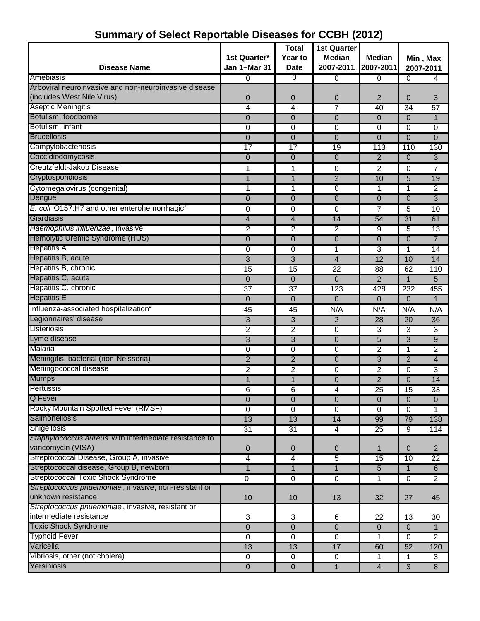| <b>Disease Name</b>                                   | 1st Quarter*<br>Jan 1-Mar 31 | <b>Total</b><br>Year to<br>Date | <b>1st Quarter</b><br><b>Median</b><br>2007-2011 | Median<br>2007-2011 | Min, Max<br>2007-2011 |                 |
|-------------------------------------------------------|------------------------------|---------------------------------|--------------------------------------------------|---------------------|-----------------------|-----------------|
| Amebiasis                                             | $\overline{0}$               | ত                               | 0                                                | 0                   | 0                     | 4               |
| Arboviral neuroinvasive and non-neuroinvasive disease |                              |                                 |                                                  |                     |                       |                 |
| (includes West Nile Virus)                            | 0                            | 0                               | 0                                                | $\overline{2}$      | 0                     | 3               |
| <b>Aseptic Meningitis</b>                             | 4                            | 4                               | $\overline{7}$                                   | 40                  | 34                    | 57              |
| Botulism, foodborne                                   | 0                            | $\overline{0}$                  | $\overline{0}$                                   | $\mathbf 0$         | $\Omega$              | 1               |
| Botulism, infant                                      | 0                            | $\overline{0}$                  | 0                                                | 0                   | 0                     | 0               |
| <b>Brucellosis</b>                                    | $\overline{0}$               | $\overline{0}$                  | $\overline{0}$                                   | $\Omega$            | $\Omega$              | $\Omega$        |
| Campylobacteriosis                                    | $\overline{17}$              | $\overline{17}$                 | 19                                               | 113                 | 110                   | 130             |
| Coccidiodomycosis                                     | 0                            | $\overline{0}$                  | $\overline{0}$                                   | $\overline{2}$      | $\Omega$              | 3               |
| Creutzfeldt-Jakob Disease                             | 1                            | 1                               | 0                                                | 2                   | 0                     | 7               |
| Cryptosporidiosis                                     | 1                            | $\mathbf{1}$                    | $\overline{2}$                                   | 10                  | 5                     | 19              |
| Cytomegalovirus (congenital)                          | 1                            | 1                               | 0                                                | 1                   | 1                     | $\overline{2}$  |
| Dengue                                                | 0                            | $\overline{0}$                  | $\Omega$                                         | $\Omega$            | $\Omega$              | 3               |
| E. coli O157:H7 and other enterohemorrhagic           | 0                            | 0                               | 0                                                | 7                   | 5                     | 10              |
| Giardiasis                                            | 4                            | 4                               | 14                                               | 54                  | $\overline{31}$       | 61              |
| Haemophilus influenzae, invasive                      | $\overline{2}$               | 2                               | 2                                                | 9                   | 5                     | 13              |
| Hemolytic Uremic Syndrome (HUS)                       | $\mathbf 0$                  | $\overline{0}$                  | $\mathbf{0}$                                     | $\mathbf 0$         | $\overline{0}$        | $\overline{7}$  |
| <b>Hepatitis A</b>                                    | 0                            | 0                               | 1                                                | 3                   | 1                     | 14              |
| Hepatitis B, acute                                    | $\overline{3}$               | $\overline{3}$                  | $\overline{4}$                                   | 12                  | 10                    | 14              |
| Hepatitis B, chronic                                  | 15                           | 15                              | 22                                               | 88                  | 62                    | 110             |
| Hepatitis C, acute                                    | $\mathbf 0$                  | $\overline{0}$                  | $\overline{0}$                                   | $\overline{2}$      | $\overline{1}$        | 5               |
| Hepatitis C, chronic                                  | $\overline{37}$              | $\overline{37}$                 | 123                                              | 428                 | 232                   | 455             |
| <b>Hepatitis E</b>                                    | $\mathbf 0$                  | $\overline{0}$                  | $\Omega$                                         | $\mathbf 0$         | $\Omega$              | $\mathbf{1}$    |
| Influenza-associated hospitalization <sup>2</sup>     | 45                           | 45                              | N/A                                              | N/A                 | N/A                   | N/A             |
| Legionnaires' disease                                 | 3                            | 3                               | $\overline{2}$                                   | 28                  | 20                    | 36              |
| Listeriosis                                           | $\overline{2}$               | $\overline{2}$                  | 0                                                | 3                   | 3                     | 3               |
| Lyme disease                                          | 3                            | 3                               | $\Omega$                                         | 5                   | 3                     | 9               |
| <b>Malaria</b>                                        | 0                            | 0                               | 0                                                | $\overline{2}$      | 1                     | $\overline{2}$  |
| Meningitis, bacterial (non-Neisseria)                 | $\overline{2}$               | $\overline{2}$                  | $\Omega$                                         | 3                   | $\overline{2}$        | 4               |
| Meningococcal disease                                 | 2                            | 2                               | 0                                                | $\overline{c}$      | $\mathbf 0$           | 3               |
| <b>Mumps</b>                                          | $\mathbf{1}$                 | $\mathbf{1}$                    | 0                                                | $\overline{2}$      | $\overline{0}$        | 14              |
| Pertussis                                             | 6                            | 6                               | 4                                                | 25                  | 15                    | $\overline{33}$ |
| Q Fever                                               | $\mathbf 0$                  | $\mathbf 0$                     | $\overline{0}$                                   | $\mathbf 0$         | $\Omega$              | $\overline{0}$  |
| Rocky Mountain Spotted Fever (RMSF)                   | 0                            | 0                               | 0                                                | 0                   | 0                     | 1               |
| Salmonellosis                                         | 13                           | 13                              | 14                                               | 99                  | 79                    | 138             |
| Shigellosis                                           | $\overline{31}$              | 31                              | 4                                                | 25                  | 9                     | 114             |
| Staphylococcus aureus with intermediate resistance to |                              |                                 |                                                  |                     |                       |                 |
| vancomycin (VISA)                                     | 0                            | 0                               | 0                                                | 1                   | $\mathbf 0$           | $\overline{2}$  |
| Streptococcal Disease, Group A, invasive              | 4                            | 4                               | $\overline{5}$                                   | 15                  | 10                    | $\overline{22}$ |
| Streptococcal disease, Group B, newborn               | $\mathbf{1}$                 | $\overline{1}$                  | $\overline{1}$                                   | $\overline{5}$      | 1                     | 6               |
| <b>Streptococcal Toxic Shock Syndrome</b>             | $\overline{0}$               | $\overline{0}$                  | $\overline{0}$                                   | 1                   | $\mathbf 0$           | $\overline{2}$  |
| Streptococcus pnuemoniae, invasive, non-resistant or  |                              |                                 |                                                  |                     |                       |                 |
| unknown resistance                                    | 10                           | 10                              | 13                                               | 32                  | 27                    | 45              |
| Streptococcus pnuemoniae, invasive, resistant or      |                              |                                 |                                                  |                     |                       |                 |
| intermediate resistance                               | 3                            | 3                               | 6                                                | 22                  | 13                    | 30              |
| <b>Toxic Shock Syndrome</b>                           | $\mathbf 0$                  | $\boldsymbol{0}$                | $\overline{0}$                                   | $\mathbf 0$         | $\mathbf{0}$          | $\mathbf{1}$    |
| <b>Typhoid Fever</b>                                  | $\overline{0}$               | $\overline{0}$                  | $\overline{0}$                                   | 1                   | 0                     | $\overline{2}$  |
| Varicella                                             | 13                           | 13                              | 17                                               | 60                  | 52                    | 120             |
| Vibriosis, other (not cholera)                        | $\overline{0}$               | 0                               | $\overline{0}$                                   | $\mathbf{1}$        | 1                     | 3               |
| Yersiniosis                                           | $\overline{0}$               | $\overline{0}$                  | $\mathbf{1}$                                     | $\overline{4}$      | $\overline{3}$        | $\overline{8}$  |

## **Summary of Select Reportable Diseases for CCBH (2012)**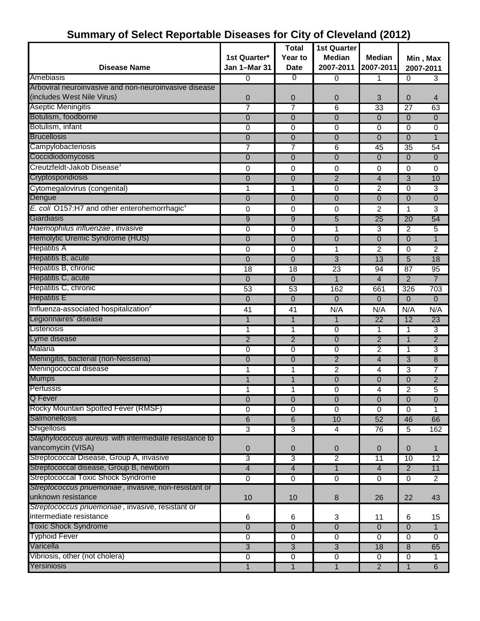#### **Disease Name 1st Quarter\* Jan 1–Mar 31 Total Year to Date 1st Quarter Median 2007-2011 Median 2007-2011** Amebiasis 0 0 0 1 0 3 Arboviral neuroinvasive and non-neuroinvasive disease (includes West Nile Virus) 0 0 0 3 0 4 Aseptic Meningitis 7 7 6 33 27 63 Botulism, foodborne 0 0 0 0 0 0 Botulism, infant 0 0 0 0 0 0 Brucellosis 0 0 0 0 0 1 Campylobacteriosis 7 7 6 45 35 54 Coccidiodomycosis and the control of the control of the control of the control of the control of the control of the control of the control of the control of the control of the control of the control of the control of the c Creutzfeldt-Jakob Disease<sup>1</sup> 0 0 0 0 0 0 Cryptosporidiosis 0 0 2 4 3 10 Cytomegalovirus (congenital) 1 1 0 2 0 3 Dengue 0 0 0 0 0 0 *E. coli* O157:H7 and other enterohemorrhagic<sup>1</sup> 0 0 0 2 1 3 Giardiasis 9 9 5 25 20 54 *Haemophilus influenzae* , invasive 0 0 1 3 2 5 Hemolytic Uremic Syndrome (HUS) 0 0 0 0 0 1 Hepatitis A 0 0 1 2 0 2 Hepatitis B, acute 0 0 3 13 5 18 Hepatitis B, chronic 18 18 23 94 87 95 Hepatitis C, acute 1 4 2 7 Hepatitis C, chronic 53 53 162 661 326 703 Hepatitis E 0 0 0 0 0 0 Influenza-associated hospitalization<sup>2</sup> 41 41 N/A N/A N/A N/A Legionnaires' disease 1 1 1 1 1 1 1 22 12 23 Listeriosis 1 1 0 1 1 3 Lyme disease 2 2 0 2 1 2 Malaria 0 0 0 2 1 3 Meningitis, bacterial (non-Neisseria) and the control of the control of the control of the control of the control of the control of the control of the control of the control of the control of the control of the control of Meningococcal disease 1 1 1 1 2 4 3 7 Mumps 1 1 0 0 0 2 Pertussis 1 1 0 4 2 5 Q Fever 0 0 0 0 0 0 Rocky Mountain Spotted Fever (RMSF) 0 0 0 0 0 1 Salmonellosis 6 10 6 10 52 46 66 Shigellosis 3 3 4 76 5 162 *Staphylococcus aureus* with intermediate resistance to vancomycin (VISA) 0 0 0 0 0 1 Streptococcal Disease, Group A, invasive **3** 2 11 10 12 Streptococcal disease, Group B, newborn 1 4 1 4 1 4 1 4 2 11 Streptococcal Toxic Shock Syndrome 0 0 0 0 2 *Streptococcus pnuemoniae* , invasive, non-resistant or unknown resistance 10 10 10 10 10 3 26 22 43 *Streptococcus pnuemoniae* , invasive, resistant or intermediate resistance and the control of the control of the control of the control of the control of the control of the control of the control of the control of the control of the control of the control of the control of Toxic Shock Syndrome 0 0 0 0 0 1 Typhoid Fever 0 0 0 0 0 0 Varicella 3 3 3 18 8 65 Vibriosis, other (not cholera) 0 0 0 0 0 1 Yersiniosis 1 1 1 2 1 6 **Min , Max 2007-2011**

## **Summary of Select Reportable Diseases for City of Cleveland (2012)**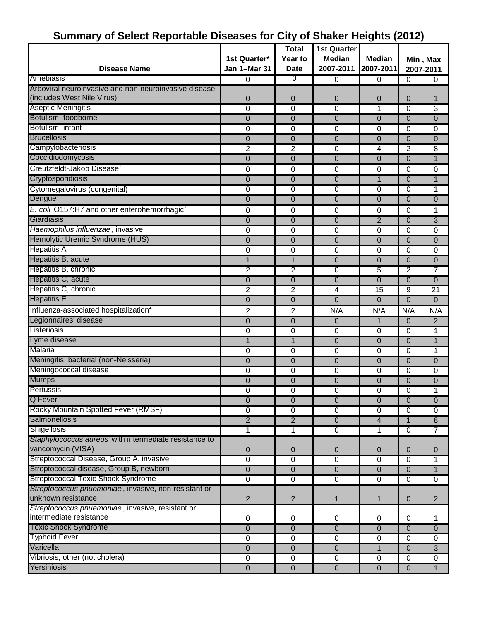# **Summary of Select Reportable Diseases for City of Shaker Heights (2012)**

| <b>Disease Name</b><br>2007-2011<br><b>Date</b><br>2007-2011<br>0<br>0<br>$\Omega$<br>0<br>$\Omega$<br>0<br>Arboviral neuroinvasive and non-neuroinvasive disease<br>(includes West Nile Virus)<br>0<br>0<br>$\mathbf 0$<br>0<br>$\overline{0}$<br>1<br>Aseptic Meningitis<br>0<br>0<br>3<br>0<br>1<br>$\Omega$<br>Botulism, foodborne<br>0<br>0<br>$\overline{0}$<br>$\overline{0}$<br>0<br>0<br>Botulism, infant<br>0<br>0<br>0<br>0<br>0<br>0<br><b>Brucellosis</b><br>0<br>0<br>$\mathbf 0$<br>$\mathbf 0$<br>0<br>$\mathbf 0$<br>Campylobacteriosis<br>$\overline{2}$<br>2<br>$\overline{2}$<br>$\Omega$<br>4<br>8<br>Coccidiodomycosis<br>$\overline{0}$<br>$\overline{0}$<br>$\Omega$<br>$\Omega$<br>1<br>0<br>Creutzfeldt-Jakob Disease <sup>1</sup><br>0<br>$\Omega$<br>0<br>0<br>$\mathbf 0$<br>0<br>Cryptosporidiosis<br>0<br>0<br>$\mathbf 0$<br>$\mathbf{1}$<br>$\Omega$<br>1<br>Cytomegalovirus (congenital)<br>0<br>0<br>0<br>0<br>0<br>1<br>$\overline{0}$<br>0<br>$\Omega$<br>$\Omega$<br>$\Omega$<br>0<br>E. coli O157:H7 and other enterohemorrhagic <sup>1</sup><br>$\Omega$<br>0<br>0<br>0<br>1<br>0<br>0<br>$\overline{2}$<br>$\Omega$<br>0<br>$\mathbf 0$<br>3<br>Haemophilus influenzae, invasive<br>$\overline{0}$<br>0<br>$\mathbf 0$<br>$\mathbf 0$<br>0<br>0<br>Hemolytic Uremic Syndrome (HUS)<br>$\mathbf 0$<br>0<br>$\overline{0}$<br>$\mathbf 0$<br>$\Omega$<br>$\mathbf{0}$<br>Hepatitis A<br>0<br>0<br>0<br>$\Omega$<br>0<br>0<br>Hepatitis B, acute<br>$\mathbf{1}$<br>1<br>$\overline{0}$<br>$\overline{0}$<br>0<br>0<br>Hepatitis B, chronic<br>$\overline{2}$<br>$\overline{2}$<br>$\overline{2}$<br>7<br>5<br>0<br>$\mathbf 0$<br>0<br>0<br>0<br>0<br>$\mathbf{0}$<br>$\overline{2}$<br>$\overline{2}$<br>4<br>9<br>$\overline{21}$<br>15<br><b>Hepatitis E</b><br>$\overline{0}$<br>$\overline{0}$<br>$\overline{0}$<br>$\Omega$<br>$\Omega$<br>$\Omega$<br>Influenza-associated hospitalization <sup>2</sup><br>2<br>N/A<br>2<br>N/A<br>N/A<br>N/A<br>Legionnaires' disease<br>$\overline{0}$<br>0<br>2<br>$\mathbf{0}$<br>$\Omega$<br>1<br>Listeriosis<br>0<br>0<br>0<br>0<br>0<br>1<br>Lyme disease<br>$\overline{0}$<br>1<br>1<br>$\overline{0}$<br>$\mathbf{1}$<br>$\mathbf 0$<br>Malaria<br>0<br>0<br>0<br>$\mathbf 0$<br>1<br>0<br>Meningitis, bacterial (non-Neisseria)<br>$\overline{0}$<br>0<br>0<br>$\Omega$<br>0<br>$\overline{0}$<br>Meningococcal disease<br>0<br>0<br>0<br>0<br>0<br>0<br><b>Mumps</b><br>0<br>0<br>$\overline{0}$<br>$\overline{0}$<br>$\overline{0}$<br>0<br>Pertussis<br>0<br>0<br>$\mathbf 0$<br>0<br>0<br>1<br><b>Q</b> Fever<br>$\overline{0}$<br>0<br>$\mathbf 0$<br>$\mathbf 0$<br>$\overline{0}$<br>$\Omega$<br>Rocky Mountain Spotted Fever (RMSF)<br>0<br>0<br>0<br>0<br>0<br>0<br>Salmonellosis<br>$\overline{2}$<br>$\overline{2}$<br>$\overline{0}$<br>4<br>$\mathbf 1$<br>$\bf 8$<br><b>Shigellosis</b><br>1<br>1<br>$\overline{0}$<br>$\overline{0}$<br>$\overline{7}$<br>1<br>Staphylococcus aureus with intermediate resistance to<br>vancomycin (VISA)<br>0<br>$\mathbf 0$<br>$\mathbf 0$<br>0<br>$\mathbf 0$<br>0<br>Streptococcal Disease, Group A, invasive<br>$\overline{0}$<br>$\overline{0}$<br>$\overline{0}$<br>$\Omega$<br>$\Omega$<br>1<br>Streptococcal disease, Group B, newborn<br>$\overline{0}$<br>$\overline{0}$<br>$\overline{0}$<br>$\mathbf 0$<br>$\Omega$<br>$\mathbf{1}$<br><b>Streptococcal Toxic Shock Syndrome</b><br>$\overline{0}$<br>$\overline{0}$<br>$\overline{0}$<br>$\overline{0}$<br>0<br>0<br>Streptococcus pnuemoniae, invasive, non-resistant or<br>unknown resistance<br>$\boldsymbol{2}$<br>$\overline{2}$<br>1<br>$\mathbf{1}$<br>$\mathbf 0$<br>$\overline{2}$<br>Streptococcus pnuemoniae, invasive, resistant or<br>intermediate resistance<br>0<br>0<br>0<br>0<br>0<br>1<br><b>Toxic Shock Syndrome</b><br>0<br>0<br>$\mathbf 0$<br>0<br>$\mathbf 0$<br>$\overline{0}$<br>Typhoid Fever<br>0<br>$\overline{0}$<br>$\overline{0}$<br>$\mathbf 0$<br>$\mathbf 0$<br>0<br>$\overline{0}$<br>$\overline{0}$<br>$\mathbf{0}$<br>$\mathbf{1}$<br>$\overline{0}$<br>$\overline{3}$<br>Vibriosis, other (not cholera)<br>0<br>$\overline{0}$<br>$\mathbf 0$<br>$\pmb{0}$<br>$\mathbf 0$<br>0<br>Yersiniosis<br>$\overline{0}$<br>$\mathbf 0$<br>$\overline{0}$<br>$\mathbf 0$<br>$\mathbf 0$<br>$\mathbf{1}$ |                      | 1st Quarter* | <b>Total</b><br>Year to | <b>1st Quarter</b><br><b>Median</b> | <b>Median</b> | Min, Max |  |
|-------------------------------------------------------------------------------------------------------------------------------------------------------------------------------------------------------------------------------------------------------------------------------------------------------------------------------------------------------------------------------------------------------------------------------------------------------------------------------------------------------------------------------------------------------------------------------------------------------------------------------------------------------------------------------------------------------------------------------------------------------------------------------------------------------------------------------------------------------------------------------------------------------------------------------------------------------------------------------------------------------------------------------------------------------------------------------------------------------------------------------------------------------------------------------------------------------------------------------------------------------------------------------------------------------------------------------------------------------------------------------------------------------------------------------------------------------------------------------------------------------------------------------------------------------------------------------------------------------------------------------------------------------------------------------------------------------------------------------------------------------------------------------------------------------------------------------------------------------------------------------------------------------------------------------------------------------------------------------------------------------------------------------------------------------------------------------------------------------------------------------------------------------------------------------------------------------------------------------------------------------------------------------------------------------------------------------------------------------------------------------------------------------------------------------------------------------------------------------------------------------------------------------------------------------------------------------------------------------------------------------------------------------------------------------------------------------------------------------------------------------------------------------------------------------------------------------------------------------------------------------------------------------------------------------------------------------------------------------------------------------------------------------------------------------------------------------------------------------------------------------------------------------------------------------------------------------------------------------------------------------------------------------------------------------------------------------------------------------------------------------------------------------------------------------------------------------------------------------------------------------------------------------------------------------------------------------------------------------------------------------------------------------------------------------------------------------------------------------------------------------------------------------------------------------------------------------------------------------------------------------------------------------------------------------------------------------------------------------------------------------------------------------------------------------------------------------------------------------------------------------------------------------------------------------------------------------------------------------------------------------------------------------------------------------------------------------------------|----------------------|--------------|-------------------------|-------------------------------------|---------------|----------|--|
|                                                                                                                                                                                                                                                                                                                                                                                                                                                                                                                                                                                                                                                                                                                                                                                                                                                                                                                                                                                                                                                                                                                                                                                                                                                                                                                                                                                                                                                                                                                                                                                                                                                                                                                                                                                                                                                                                                                                                                                                                                                                                                                                                                                                                                                                                                                                                                                                                                                                                                                                                                                                                                                                                                                                                                                                                                                                                                                                                                                                                                                                                                                                                                                                                                                                                                                                                                                                                                                                                                                                                                                                                                                                                                                                                                                                                                                                                                                                                                                                                                                                                                                                                                                                                                                                                                                                           |                      | Jan 1-Mar 31 |                         |                                     | 2007-2011     |          |  |
|                                                                                                                                                                                                                                                                                                                                                                                                                                                                                                                                                                                                                                                                                                                                                                                                                                                                                                                                                                                                                                                                                                                                                                                                                                                                                                                                                                                                                                                                                                                                                                                                                                                                                                                                                                                                                                                                                                                                                                                                                                                                                                                                                                                                                                                                                                                                                                                                                                                                                                                                                                                                                                                                                                                                                                                                                                                                                                                                                                                                                                                                                                                                                                                                                                                                                                                                                                                                                                                                                                                                                                                                                                                                                                                                                                                                                                                                                                                                                                                                                                                                                                                                                                                                                                                                                                                                           | Amebiasis            |              |                         |                                     |               |          |  |
|                                                                                                                                                                                                                                                                                                                                                                                                                                                                                                                                                                                                                                                                                                                                                                                                                                                                                                                                                                                                                                                                                                                                                                                                                                                                                                                                                                                                                                                                                                                                                                                                                                                                                                                                                                                                                                                                                                                                                                                                                                                                                                                                                                                                                                                                                                                                                                                                                                                                                                                                                                                                                                                                                                                                                                                                                                                                                                                                                                                                                                                                                                                                                                                                                                                                                                                                                                                                                                                                                                                                                                                                                                                                                                                                                                                                                                                                                                                                                                                                                                                                                                                                                                                                                                                                                                                                           |                      |              |                         |                                     |               |          |  |
|                                                                                                                                                                                                                                                                                                                                                                                                                                                                                                                                                                                                                                                                                                                                                                                                                                                                                                                                                                                                                                                                                                                                                                                                                                                                                                                                                                                                                                                                                                                                                                                                                                                                                                                                                                                                                                                                                                                                                                                                                                                                                                                                                                                                                                                                                                                                                                                                                                                                                                                                                                                                                                                                                                                                                                                                                                                                                                                                                                                                                                                                                                                                                                                                                                                                                                                                                                                                                                                                                                                                                                                                                                                                                                                                                                                                                                                                                                                                                                                                                                                                                                                                                                                                                                                                                                                                           |                      |              |                         |                                     |               |          |  |
|                                                                                                                                                                                                                                                                                                                                                                                                                                                                                                                                                                                                                                                                                                                                                                                                                                                                                                                                                                                                                                                                                                                                                                                                                                                                                                                                                                                                                                                                                                                                                                                                                                                                                                                                                                                                                                                                                                                                                                                                                                                                                                                                                                                                                                                                                                                                                                                                                                                                                                                                                                                                                                                                                                                                                                                                                                                                                                                                                                                                                                                                                                                                                                                                                                                                                                                                                                                                                                                                                                                                                                                                                                                                                                                                                                                                                                                                                                                                                                                                                                                                                                                                                                                                                                                                                                                                           |                      |              |                         |                                     |               |          |  |
|                                                                                                                                                                                                                                                                                                                                                                                                                                                                                                                                                                                                                                                                                                                                                                                                                                                                                                                                                                                                                                                                                                                                                                                                                                                                                                                                                                                                                                                                                                                                                                                                                                                                                                                                                                                                                                                                                                                                                                                                                                                                                                                                                                                                                                                                                                                                                                                                                                                                                                                                                                                                                                                                                                                                                                                                                                                                                                                                                                                                                                                                                                                                                                                                                                                                                                                                                                                                                                                                                                                                                                                                                                                                                                                                                                                                                                                                                                                                                                                                                                                                                                                                                                                                                                                                                                                                           |                      |              |                         |                                     |               |          |  |
|                                                                                                                                                                                                                                                                                                                                                                                                                                                                                                                                                                                                                                                                                                                                                                                                                                                                                                                                                                                                                                                                                                                                                                                                                                                                                                                                                                                                                                                                                                                                                                                                                                                                                                                                                                                                                                                                                                                                                                                                                                                                                                                                                                                                                                                                                                                                                                                                                                                                                                                                                                                                                                                                                                                                                                                                                                                                                                                                                                                                                                                                                                                                                                                                                                                                                                                                                                                                                                                                                                                                                                                                                                                                                                                                                                                                                                                                                                                                                                                                                                                                                                                                                                                                                                                                                                                                           |                      |              |                         |                                     |               |          |  |
|                                                                                                                                                                                                                                                                                                                                                                                                                                                                                                                                                                                                                                                                                                                                                                                                                                                                                                                                                                                                                                                                                                                                                                                                                                                                                                                                                                                                                                                                                                                                                                                                                                                                                                                                                                                                                                                                                                                                                                                                                                                                                                                                                                                                                                                                                                                                                                                                                                                                                                                                                                                                                                                                                                                                                                                                                                                                                                                                                                                                                                                                                                                                                                                                                                                                                                                                                                                                                                                                                                                                                                                                                                                                                                                                                                                                                                                                                                                                                                                                                                                                                                                                                                                                                                                                                                                                           |                      |              |                         |                                     |               |          |  |
|                                                                                                                                                                                                                                                                                                                                                                                                                                                                                                                                                                                                                                                                                                                                                                                                                                                                                                                                                                                                                                                                                                                                                                                                                                                                                                                                                                                                                                                                                                                                                                                                                                                                                                                                                                                                                                                                                                                                                                                                                                                                                                                                                                                                                                                                                                                                                                                                                                                                                                                                                                                                                                                                                                                                                                                                                                                                                                                                                                                                                                                                                                                                                                                                                                                                                                                                                                                                                                                                                                                                                                                                                                                                                                                                                                                                                                                                                                                                                                                                                                                                                                                                                                                                                                                                                                                                           |                      |              |                         |                                     |               |          |  |
|                                                                                                                                                                                                                                                                                                                                                                                                                                                                                                                                                                                                                                                                                                                                                                                                                                                                                                                                                                                                                                                                                                                                                                                                                                                                                                                                                                                                                                                                                                                                                                                                                                                                                                                                                                                                                                                                                                                                                                                                                                                                                                                                                                                                                                                                                                                                                                                                                                                                                                                                                                                                                                                                                                                                                                                                                                                                                                                                                                                                                                                                                                                                                                                                                                                                                                                                                                                                                                                                                                                                                                                                                                                                                                                                                                                                                                                                                                                                                                                                                                                                                                                                                                                                                                                                                                                                           |                      |              |                         |                                     |               |          |  |
|                                                                                                                                                                                                                                                                                                                                                                                                                                                                                                                                                                                                                                                                                                                                                                                                                                                                                                                                                                                                                                                                                                                                                                                                                                                                                                                                                                                                                                                                                                                                                                                                                                                                                                                                                                                                                                                                                                                                                                                                                                                                                                                                                                                                                                                                                                                                                                                                                                                                                                                                                                                                                                                                                                                                                                                                                                                                                                                                                                                                                                                                                                                                                                                                                                                                                                                                                                                                                                                                                                                                                                                                                                                                                                                                                                                                                                                                                                                                                                                                                                                                                                                                                                                                                                                                                                                                           |                      |              |                         |                                     |               |          |  |
|                                                                                                                                                                                                                                                                                                                                                                                                                                                                                                                                                                                                                                                                                                                                                                                                                                                                                                                                                                                                                                                                                                                                                                                                                                                                                                                                                                                                                                                                                                                                                                                                                                                                                                                                                                                                                                                                                                                                                                                                                                                                                                                                                                                                                                                                                                                                                                                                                                                                                                                                                                                                                                                                                                                                                                                                                                                                                                                                                                                                                                                                                                                                                                                                                                                                                                                                                                                                                                                                                                                                                                                                                                                                                                                                                                                                                                                                                                                                                                                                                                                                                                                                                                                                                                                                                                                                           |                      |              |                         |                                     |               |          |  |
|                                                                                                                                                                                                                                                                                                                                                                                                                                                                                                                                                                                                                                                                                                                                                                                                                                                                                                                                                                                                                                                                                                                                                                                                                                                                                                                                                                                                                                                                                                                                                                                                                                                                                                                                                                                                                                                                                                                                                                                                                                                                                                                                                                                                                                                                                                                                                                                                                                                                                                                                                                                                                                                                                                                                                                                                                                                                                                                                                                                                                                                                                                                                                                                                                                                                                                                                                                                                                                                                                                                                                                                                                                                                                                                                                                                                                                                                                                                                                                                                                                                                                                                                                                                                                                                                                                                                           |                      |              |                         |                                     |               |          |  |
|                                                                                                                                                                                                                                                                                                                                                                                                                                                                                                                                                                                                                                                                                                                                                                                                                                                                                                                                                                                                                                                                                                                                                                                                                                                                                                                                                                                                                                                                                                                                                                                                                                                                                                                                                                                                                                                                                                                                                                                                                                                                                                                                                                                                                                                                                                                                                                                                                                                                                                                                                                                                                                                                                                                                                                                                                                                                                                                                                                                                                                                                                                                                                                                                                                                                                                                                                                                                                                                                                                                                                                                                                                                                                                                                                                                                                                                                                                                                                                                                                                                                                                                                                                                                                                                                                                                                           | Dengue               |              |                         |                                     |               |          |  |
|                                                                                                                                                                                                                                                                                                                                                                                                                                                                                                                                                                                                                                                                                                                                                                                                                                                                                                                                                                                                                                                                                                                                                                                                                                                                                                                                                                                                                                                                                                                                                                                                                                                                                                                                                                                                                                                                                                                                                                                                                                                                                                                                                                                                                                                                                                                                                                                                                                                                                                                                                                                                                                                                                                                                                                                                                                                                                                                                                                                                                                                                                                                                                                                                                                                                                                                                                                                                                                                                                                                                                                                                                                                                                                                                                                                                                                                                                                                                                                                                                                                                                                                                                                                                                                                                                                                                           |                      |              |                         |                                     |               |          |  |
|                                                                                                                                                                                                                                                                                                                                                                                                                                                                                                                                                                                                                                                                                                                                                                                                                                                                                                                                                                                                                                                                                                                                                                                                                                                                                                                                                                                                                                                                                                                                                                                                                                                                                                                                                                                                                                                                                                                                                                                                                                                                                                                                                                                                                                                                                                                                                                                                                                                                                                                                                                                                                                                                                                                                                                                                                                                                                                                                                                                                                                                                                                                                                                                                                                                                                                                                                                                                                                                                                                                                                                                                                                                                                                                                                                                                                                                                                                                                                                                                                                                                                                                                                                                                                                                                                                                                           | Giardiasis           |              |                         |                                     |               |          |  |
|                                                                                                                                                                                                                                                                                                                                                                                                                                                                                                                                                                                                                                                                                                                                                                                                                                                                                                                                                                                                                                                                                                                                                                                                                                                                                                                                                                                                                                                                                                                                                                                                                                                                                                                                                                                                                                                                                                                                                                                                                                                                                                                                                                                                                                                                                                                                                                                                                                                                                                                                                                                                                                                                                                                                                                                                                                                                                                                                                                                                                                                                                                                                                                                                                                                                                                                                                                                                                                                                                                                                                                                                                                                                                                                                                                                                                                                                                                                                                                                                                                                                                                                                                                                                                                                                                                                                           |                      |              |                         |                                     |               |          |  |
|                                                                                                                                                                                                                                                                                                                                                                                                                                                                                                                                                                                                                                                                                                                                                                                                                                                                                                                                                                                                                                                                                                                                                                                                                                                                                                                                                                                                                                                                                                                                                                                                                                                                                                                                                                                                                                                                                                                                                                                                                                                                                                                                                                                                                                                                                                                                                                                                                                                                                                                                                                                                                                                                                                                                                                                                                                                                                                                                                                                                                                                                                                                                                                                                                                                                                                                                                                                                                                                                                                                                                                                                                                                                                                                                                                                                                                                                                                                                                                                                                                                                                                                                                                                                                                                                                                                                           |                      |              |                         |                                     |               |          |  |
|                                                                                                                                                                                                                                                                                                                                                                                                                                                                                                                                                                                                                                                                                                                                                                                                                                                                                                                                                                                                                                                                                                                                                                                                                                                                                                                                                                                                                                                                                                                                                                                                                                                                                                                                                                                                                                                                                                                                                                                                                                                                                                                                                                                                                                                                                                                                                                                                                                                                                                                                                                                                                                                                                                                                                                                                                                                                                                                                                                                                                                                                                                                                                                                                                                                                                                                                                                                                                                                                                                                                                                                                                                                                                                                                                                                                                                                                                                                                                                                                                                                                                                                                                                                                                                                                                                                                           |                      |              |                         |                                     |               |          |  |
|                                                                                                                                                                                                                                                                                                                                                                                                                                                                                                                                                                                                                                                                                                                                                                                                                                                                                                                                                                                                                                                                                                                                                                                                                                                                                                                                                                                                                                                                                                                                                                                                                                                                                                                                                                                                                                                                                                                                                                                                                                                                                                                                                                                                                                                                                                                                                                                                                                                                                                                                                                                                                                                                                                                                                                                                                                                                                                                                                                                                                                                                                                                                                                                                                                                                                                                                                                                                                                                                                                                                                                                                                                                                                                                                                                                                                                                                                                                                                                                                                                                                                                                                                                                                                                                                                                                                           |                      |              |                         |                                     |               |          |  |
|                                                                                                                                                                                                                                                                                                                                                                                                                                                                                                                                                                                                                                                                                                                                                                                                                                                                                                                                                                                                                                                                                                                                                                                                                                                                                                                                                                                                                                                                                                                                                                                                                                                                                                                                                                                                                                                                                                                                                                                                                                                                                                                                                                                                                                                                                                                                                                                                                                                                                                                                                                                                                                                                                                                                                                                                                                                                                                                                                                                                                                                                                                                                                                                                                                                                                                                                                                                                                                                                                                                                                                                                                                                                                                                                                                                                                                                                                                                                                                                                                                                                                                                                                                                                                                                                                                                                           |                      |              |                         |                                     |               |          |  |
|                                                                                                                                                                                                                                                                                                                                                                                                                                                                                                                                                                                                                                                                                                                                                                                                                                                                                                                                                                                                                                                                                                                                                                                                                                                                                                                                                                                                                                                                                                                                                                                                                                                                                                                                                                                                                                                                                                                                                                                                                                                                                                                                                                                                                                                                                                                                                                                                                                                                                                                                                                                                                                                                                                                                                                                                                                                                                                                                                                                                                                                                                                                                                                                                                                                                                                                                                                                                                                                                                                                                                                                                                                                                                                                                                                                                                                                                                                                                                                                                                                                                                                                                                                                                                                                                                                                                           | Hepatitis C, acute   |              |                         |                                     |               |          |  |
|                                                                                                                                                                                                                                                                                                                                                                                                                                                                                                                                                                                                                                                                                                                                                                                                                                                                                                                                                                                                                                                                                                                                                                                                                                                                                                                                                                                                                                                                                                                                                                                                                                                                                                                                                                                                                                                                                                                                                                                                                                                                                                                                                                                                                                                                                                                                                                                                                                                                                                                                                                                                                                                                                                                                                                                                                                                                                                                                                                                                                                                                                                                                                                                                                                                                                                                                                                                                                                                                                                                                                                                                                                                                                                                                                                                                                                                                                                                                                                                                                                                                                                                                                                                                                                                                                                                                           | Hepatitis C, chronic |              |                         |                                     |               |          |  |
|                                                                                                                                                                                                                                                                                                                                                                                                                                                                                                                                                                                                                                                                                                                                                                                                                                                                                                                                                                                                                                                                                                                                                                                                                                                                                                                                                                                                                                                                                                                                                                                                                                                                                                                                                                                                                                                                                                                                                                                                                                                                                                                                                                                                                                                                                                                                                                                                                                                                                                                                                                                                                                                                                                                                                                                                                                                                                                                                                                                                                                                                                                                                                                                                                                                                                                                                                                                                                                                                                                                                                                                                                                                                                                                                                                                                                                                                                                                                                                                                                                                                                                                                                                                                                                                                                                                                           |                      |              |                         |                                     |               |          |  |
|                                                                                                                                                                                                                                                                                                                                                                                                                                                                                                                                                                                                                                                                                                                                                                                                                                                                                                                                                                                                                                                                                                                                                                                                                                                                                                                                                                                                                                                                                                                                                                                                                                                                                                                                                                                                                                                                                                                                                                                                                                                                                                                                                                                                                                                                                                                                                                                                                                                                                                                                                                                                                                                                                                                                                                                                                                                                                                                                                                                                                                                                                                                                                                                                                                                                                                                                                                                                                                                                                                                                                                                                                                                                                                                                                                                                                                                                                                                                                                                                                                                                                                                                                                                                                                                                                                                                           |                      |              |                         |                                     |               |          |  |
|                                                                                                                                                                                                                                                                                                                                                                                                                                                                                                                                                                                                                                                                                                                                                                                                                                                                                                                                                                                                                                                                                                                                                                                                                                                                                                                                                                                                                                                                                                                                                                                                                                                                                                                                                                                                                                                                                                                                                                                                                                                                                                                                                                                                                                                                                                                                                                                                                                                                                                                                                                                                                                                                                                                                                                                                                                                                                                                                                                                                                                                                                                                                                                                                                                                                                                                                                                                                                                                                                                                                                                                                                                                                                                                                                                                                                                                                                                                                                                                                                                                                                                                                                                                                                                                                                                                                           |                      |              |                         |                                     |               |          |  |
|                                                                                                                                                                                                                                                                                                                                                                                                                                                                                                                                                                                                                                                                                                                                                                                                                                                                                                                                                                                                                                                                                                                                                                                                                                                                                                                                                                                                                                                                                                                                                                                                                                                                                                                                                                                                                                                                                                                                                                                                                                                                                                                                                                                                                                                                                                                                                                                                                                                                                                                                                                                                                                                                                                                                                                                                                                                                                                                                                                                                                                                                                                                                                                                                                                                                                                                                                                                                                                                                                                                                                                                                                                                                                                                                                                                                                                                                                                                                                                                                                                                                                                                                                                                                                                                                                                                                           |                      |              |                         |                                     |               |          |  |
|                                                                                                                                                                                                                                                                                                                                                                                                                                                                                                                                                                                                                                                                                                                                                                                                                                                                                                                                                                                                                                                                                                                                                                                                                                                                                                                                                                                                                                                                                                                                                                                                                                                                                                                                                                                                                                                                                                                                                                                                                                                                                                                                                                                                                                                                                                                                                                                                                                                                                                                                                                                                                                                                                                                                                                                                                                                                                                                                                                                                                                                                                                                                                                                                                                                                                                                                                                                                                                                                                                                                                                                                                                                                                                                                                                                                                                                                                                                                                                                                                                                                                                                                                                                                                                                                                                                                           |                      |              |                         |                                     |               |          |  |
|                                                                                                                                                                                                                                                                                                                                                                                                                                                                                                                                                                                                                                                                                                                                                                                                                                                                                                                                                                                                                                                                                                                                                                                                                                                                                                                                                                                                                                                                                                                                                                                                                                                                                                                                                                                                                                                                                                                                                                                                                                                                                                                                                                                                                                                                                                                                                                                                                                                                                                                                                                                                                                                                                                                                                                                                                                                                                                                                                                                                                                                                                                                                                                                                                                                                                                                                                                                                                                                                                                                                                                                                                                                                                                                                                                                                                                                                                                                                                                                                                                                                                                                                                                                                                                                                                                                                           |                      |              |                         |                                     |               |          |  |
|                                                                                                                                                                                                                                                                                                                                                                                                                                                                                                                                                                                                                                                                                                                                                                                                                                                                                                                                                                                                                                                                                                                                                                                                                                                                                                                                                                                                                                                                                                                                                                                                                                                                                                                                                                                                                                                                                                                                                                                                                                                                                                                                                                                                                                                                                                                                                                                                                                                                                                                                                                                                                                                                                                                                                                                                                                                                                                                                                                                                                                                                                                                                                                                                                                                                                                                                                                                                                                                                                                                                                                                                                                                                                                                                                                                                                                                                                                                                                                                                                                                                                                                                                                                                                                                                                                                                           |                      |              |                         |                                     |               |          |  |
|                                                                                                                                                                                                                                                                                                                                                                                                                                                                                                                                                                                                                                                                                                                                                                                                                                                                                                                                                                                                                                                                                                                                                                                                                                                                                                                                                                                                                                                                                                                                                                                                                                                                                                                                                                                                                                                                                                                                                                                                                                                                                                                                                                                                                                                                                                                                                                                                                                                                                                                                                                                                                                                                                                                                                                                                                                                                                                                                                                                                                                                                                                                                                                                                                                                                                                                                                                                                                                                                                                                                                                                                                                                                                                                                                                                                                                                                                                                                                                                                                                                                                                                                                                                                                                                                                                                                           |                      |              |                         |                                     |               |          |  |
|                                                                                                                                                                                                                                                                                                                                                                                                                                                                                                                                                                                                                                                                                                                                                                                                                                                                                                                                                                                                                                                                                                                                                                                                                                                                                                                                                                                                                                                                                                                                                                                                                                                                                                                                                                                                                                                                                                                                                                                                                                                                                                                                                                                                                                                                                                                                                                                                                                                                                                                                                                                                                                                                                                                                                                                                                                                                                                                                                                                                                                                                                                                                                                                                                                                                                                                                                                                                                                                                                                                                                                                                                                                                                                                                                                                                                                                                                                                                                                                                                                                                                                                                                                                                                                                                                                                                           |                      |              |                         |                                     |               |          |  |
|                                                                                                                                                                                                                                                                                                                                                                                                                                                                                                                                                                                                                                                                                                                                                                                                                                                                                                                                                                                                                                                                                                                                                                                                                                                                                                                                                                                                                                                                                                                                                                                                                                                                                                                                                                                                                                                                                                                                                                                                                                                                                                                                                                                                                                                                                                                                                                                                                                                                                                                                                                                                                                                                                                                                                                                                                                                                                                                                                                                                                                                                                                                                                                                                                                                                                                                                                                                                                                                                                                                                                                                                                                                                                                                                                                                                                                                                                                                                                                                                                                                                                                                                                                                                                                                                                                                                           |                      |              |                         |                                     |               |          |  |
|                                                                                                                                                                                                                                                                                                                                                                                                                                                                                                                                                                                                                                                                                                                                                                                                                                                                                                                                                                                                                                                                                                                                                                                                                                                                                                                                                                                                                                                                                                                                                                                                                                                                                                                                                                                                                                                                                                                                                                                                                                                                                                                                                                                                                                                                                                                                                                                                                                                                                                                                                                                                                                                                                                                                                                                                                                                                                                                                                                                                                                                                                                                                                                                                                                                                                                                                                                                                                                                                                                                                                                                                                                                                                                                                                                                                                                                                                                                                                                                                                                                                                                                                                                                                                                                                                                                                           |                      |              |                         |                                     |               |          |  |
|                                                                                                                                                                                                                                                                                                                                                                                                                                                                                                                                                                                                                                                                                                                                                                                                                                                                                                                                                                                                                                                                                                                                                                                                                                                                                                                                                                                                                                                                                                                                                                                                                                                                                                                                                                                                                                                                                                                                                                                                                                                                                                                                                                                                                                                                                                                                                                                                                                                                                                                                                                                                                                                                                                                                                                                                                                                                                                                                                                                                                                                                                                                                                                                                                                                                                                                                                                                                                                                                                                                                                                                                                                                                                                                                                                                                                                                                                                                                                                                                                                                                                                                                                                                                                                                                                                                                           |                      |              |                         |                                     |               |          |  |
|                                                                                                                                                                                                                                                                                                                                                                                                                                                                                                                                                                                                                                                                                                                                                                                                                                                                                                                                                                                                                                                                                                                                                                                                                                                                                                                                                                                                                                                                                                                                                                                                                                                                                                                                                                                                                                                                                                                                                                                                                                                                                                                                                                                                                                                                                                                                                                                                                                                                                                                                                                                                                                                                                                                                                                                                                                                                                                                                                                                                                                                                                                                                                                                                                                                                                                                                                                                                                                                                                                                                                                                                                                                                                                                                                                                                                                                                                                                                                                                                                                                                                                                                                                                                                                                                                                                                           |                      |              |                         |                                     |               |          |  |
|                                                                                                                                                                                                                                                                                                                                                                                                                                                                                                                                                                                                                                                                                                                                                                                                                                                                                                                                                                                                                                                                                                                                                                                                                                                                                                                                                                                                                                                                                                                                                                                                                                                                                                                                                                                                                                                                                                                                                                                                                                                                                                                                                                                                                                                                                                                                                                                                                                                                                                                                                                                                                                                                                                                                                                                                                                                                                                                                                                                                                                                                                                                                                                                                                                                                                                                                                                                                                                                                                                                                                                                                                                                                                                                                                                                                                                                                                                                                                                                                                                                                                                                                                                                                                                                                                                                                           |                      |              |                         |                                     |               |          |  |
|                                                                                                                                                                                                                                                                                                                                                                                                                                                                                                                                                                                                                                                                                                                                                                                                                                                                                                                                                                                                                                                                                                                                                                                                                                                                                                                                                                                                                                                                                                                                                                                                                                                                                                                                                                                                                                                                                                                                                                                                                                                                                                                                                                                                                                                                                                                                                                                                                                                                                                                                                                                                                                                                                                                                                                                                                                                                                                                                                                                                                                                                                                                                                                                                                                                                                                                                                                                                                                                                                                                                                                                                                                                                                                                                                                                                                                                                                                                                                                                                                                                                                                                                                                                                                                                                                                                                           |                      |              |                         |                                     |               |          |  |
|                                                                                                                                                                                                                                                                                                                                                                                                                                                                                                                                                                                                                                                                                                                                                                                                                                                                                                                                                                                                                                                                                                                                                                                                                                                                                                                                                                                                                                                                                                                                                                                                                                                                                                                                                                                                                                                                                                                                                                                                                                                                                                                                                                                                                                                                                                                                                                                                                                                                                                                                                                                                                                                                                                                                                                                                                                                                                                                                                                                                                                                                                                                                                                                                                                                                                                                                                                                                                                                                                                                                                                                                                                                                                                                                                                                                                                                                                                                                                                                                                                                                                                                                                                                                                                                                                                                                           |                      |              |                         |                                     |               |          |  |
|                                                                                                                                                                                                                                                                                                                                                                                                                                                                                                                                                                                                                                                                                                                                                                                                                                                                                                                                                                                                                                                                                                                                                                                                                                                                                                                                                                                                                                                                                                                                                                                                                                                                                                                                                                                                                                                                                                                                                                                                                                                                                                                                                                                                                                                                                                                                                                                                                                                                                                                                                                                                                                                                                                                                                                                                                                                                                                                                                                                                                                                                                                                                                                                                                                                                                                                                                                                                                                                                                                                                                                                                                                                                                                                                                                                                                                                                                                                                                                                                                                                                                                                                                                                                                                                                                                                                           |                      |              |                         |                                     |               |          |  |
|                                                                                                                                                                                                                                                                                                                                                                                                                                                                                                                                                                                                                                                                                                                                                                                                                                                                                                                                                                                                                                                                                                                                                                                                                                                                                                                                                                                                                                                                                                                                                                                                                                                                                                                                                                                                                                                                                                                                                                                                                                                                                                                                                                                                                                                                                                                                                                                                                                                                                                                                                                                                                                                                                                                                                                                                                                                                                                                                                                                                                                                                                                                                                                                                                                                                                                                                                                                                                                                                                                                                                                                                                                                                                                                                                                                                                                                                                                                                                                                                                                                                                                                                                                                                                                                                                                                                           |                      |              |                         |                                     |               |          |  |
|                                                                                                                                                                                                                                                                                                                                                                                                                                                                                                                                                                                                                                                                                                                                                                                                                                                                                                                                                                                                                                                                                                                                                                                                                                                                                                                                                                                                                                                                                                                                                                                                                                                                                                                                                                                                                                                                                                                                                                                                                                                                                                                                                                                                                                                                                                                                                                                                                                                                                                                                                                                                                                                                                                                                                                                                                                                                                                                                                                                                                                                                                                                                                                                                                                                                                                                                                                                                                                                                                                                                                                                                                                                                                                                                                                                                                                                                                                                                                                                                                                                                                                                                                                                                                                                                                                                                           |                      |              |                         |                                     |               |          |  |
|                                                                                                                                                                                                                                                                                                                                                                                                                                                                                                                                                                                                                                                                                                                                                                                                                                                                                                                                                                                                                                                                                                                                                                                                                                                                                                                                                                                                                                                                                                                                                                                                                                                                                                                                                                                                                                                                                                                                                                                                                                                                                                                                                                                                                                                                                                                                                                                                                                                                                                                                                                                                                                                                                                                                                                                                                                                                                                                                                                                                                                                                                                                                                                                                                                                                                                                                                                                                                                                                                                                                                                                                                                                                                                                                                                                                                                                                                                                                                                                                                                                                                                                                                                                                                                                                                                                                           |                      |              |                         |                                     |               |          |  |
|                                                                                                                                                                                                                                                                                                                                                                                                                                                                                                                                                                                                                                                                                                                                                                                                                                                                                                                                                                                                                                                                                                                                                                                                                                                                                                                                                                                                                                                                                                                                                                                                                                                                                                                                                                                                                                                                                                                                                                                                                                                                                                                                                                                                                                                                                                                                                                                                                                                                                                                                                                                                                                                                                                                                                                                                                                                                                                                                                                                                                                                                                                                                                                                                                                                                                                                                                                                                                                                                                                                                                                                                                                                                                                                                                                                                                                                                                                                                                                                                                                                                                                                                                                                                                                                                                                                                           |                      |              |                         |                                     |               |          |  |
|                                                                                                                                                                                                                                                                                                                                                                                                                                                                                                                                                                                                                                                                                                                                                                                                                                                                                                                                                                                                                                                                                                                                                                                                                                                                                                                                                                                                                                                                                                                                                                                                                                                                                                                                                                                                                                                                                                                                                                                                                                                                                                                                                                                                                                                                                                                                                                                                                                                                                                                                                                                                                                                                                                                                                                                                                                                                                                                                                                                                                                                                                                                                                                                                                                                                                                                                                                                                                                                                                                                                                                                                                                                                                                                                                                                                                                                                                                                                                                                                                                                                                                                                                                                                                                                                                                                                           |                      |              |                         |                                     |               |          |  |
|                                                                                                                                                                                                                                                                                                                                                                                                                                                                                                                                                                                                                                                                                                                                                                                                                                                                                                                                                                                                                                                                                                                                                                                                                                                                                                                                                                                                                                                                                                                                                                                                                                                                                                                                                                                                                                                                                                                                                                                                                                                                                                                                                                                                                                                                                                                                                                                                                                                                                                                                                                                                                                                                                                                                                                                                                                                                                                                                                                                                                                                                                                                                                                                                                                                                                                                                                                                                                                                                                                                                                                                                                                                                                                                                                                                                                                                                                                                                                                                                                                                                                                                                                                                                                                                                                                                                           |                      |              |                         |                                     |               |          |  |
|                                                                                                                                                                                                                                                                                                                                                                                                                                                                                                                                                                                                                                                                                                                                                                                                                                                                                                                                                                                                                                                                                                                                                                                                                                                                                                                                                                                                                                                                                                                                                                                                                                                                                                                                                                                                                                                                                                                                                                                                                                                                                                                                                                                                                                                                                                                                                                                                                                                                                                                                                                                                                                                                                                                                                                                                                                                                                                                                                                                                                                                                                                                                                                                                                                                                                                                                                                                                                                                                                                                                                                                                                                                                                                                                                                                                                                                                                                                                                                                                                                                                                                                                                                                                                                                                                                                                           |                      |              |                         |                                     |               |          |  |
|                                                                                                                                                                                                                                                                                                                                                                                                                                                                                                                                                                                                                                                                                                                                                                                                                                                                                                                                                                                                                                                                                                                                                                                                                                                                                                                                                                                                                                                                                                                                                                                                                                                                                                                                                                                                                                                                                                                                                                                                                                                                                                                                                                                                                                                                                                                                                                                                                                                                                                                                                                                                                                                                                                                                                                                                                                                                                                                                                                                                                                                                                                                                                                                                                                                                                                                                                                                                                                                                                                                                                                                                                                                                                                                                                                                                                                                                                                                                                                                                                                                                                                                                                                                                                                                                                                                                           |                      |              |                         |                                     |               |          |  |
|                                                                                                                                                                                                                                                                                                                                                                                                                                                                                                                                                                                                                                                                                                                                                                                                                                                                                                                                                                                                                                                                                                                                                                                                                                                                                                                                                                                                                                                                                                                                                                                                                                                                                                                                                                                                                                                                                                                                                                                                                                                                                                                                                                                                                                                                                                                                                                                                                                                                                                                                                                                                                                                                                                                                                                                                                                                                                                                                                                                                                                                                                                                                                                                                                                                                                                                                                                                                                                                                                                                                                                                                                                                                                                                                                                                                                                                                                                                                                                                                                                                                                                                                                                                                                                                                                                                                           | Varicella            |              |                         |                                     |               |          |  |
|                                                                                                                                                                                                                                                                                                                                                                                                                                                                                                                                                                                                                                                                                                                                                                                                                                                                                                                                                                                                                                                                                                                                                                                                                                                                                                                                                                                                                                                                                                                                                                                                                                                                                                                                                                                                                                                                                                                                                                                                                                                                                                                                                                                                                                                                                                                                                                                                                                                                                                                                                                                                                                                                                                                                                                                                                                                                                                                                                                                                                                                                                                                                                                                                                                                                                                                                                                                                                                                                                                                                                                                                                                                                                                                                                                                                                                                                                                                                                                                                                                                                                                                                                                                                                                                                                                                                           |                      |              |                         |                                     |               |          |  |
|                                                                                                                                                                                                                                                                                                                                                                                                                                                                                                                                                                                                                                                                                                                                                                                                                                                                                                                                                                                                                                                                                                                                                                                                                                                                                                                                                                                                                                                                                                                                                                                                                                                                                                                                                                                                                                                                                                                                                                                                                                                                                                                                                                                                                                                                                                                                                                                                                                                                                                                                                                                                                                                                                                                                                                                                                                                                                                                                                                                                                                                                                                                                                                                                                                                                                                                                                                                                                                                                                                                                                                                                                                                                                                                                                                                                                                                                                                                                                                                                                                                                                                                                                                                                                                                                                                                                           |                      |              |                         |                                     |               |          |  |